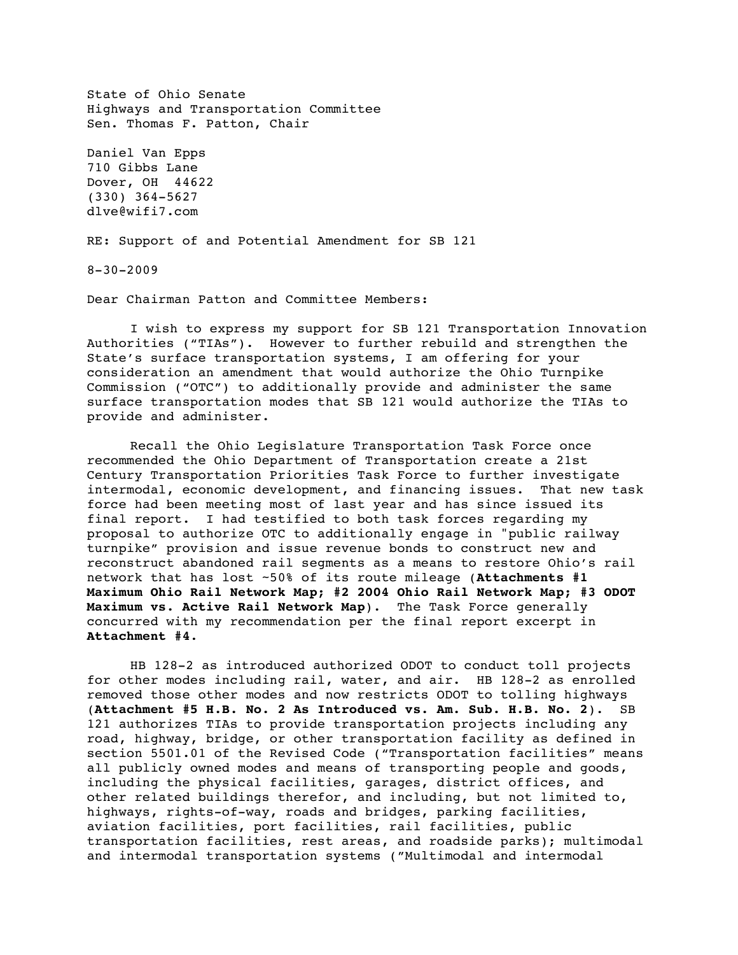State of Ohio Senate Highways and Transportation Committee Sen. Thomas F. Patton, Chair Daniel Van Epps 710 Gibbs Lane Dover, OH 44622 (330) 364-5627 dlve@wifi7.com RE: Support of and Potential Amendment for SB 121 8-30-2009

Dear Chairman Patton and Committee Members:

I wish to express my support for SB 121 Transportation Innovation Authorities ("TIAs"). However to further rebuild and strengthen the State's surface transportation systems, I am offering for your consideration an amendment that would authorize the Ohio Turnpike Commission ("OTC") to additionally provide and administer the same surface transportation modes that SB 121 would authorize the TIAs to provide and administer.

Recall the Ohio Legislature Transportation Task Force once recommended the Ohio Department of Transportation create a 21st Century Transportation Priorities Task Force to further investigate intermodal, economic development, and financing issues. That new task force had been meeting most of last year and has since issued its final report. I had testified to both task forces regarding my proposal to authorize OTC to additionally engage in "public railway turnpike" provision and issue revenue bonds to construct new and reconstruct abandoned rail segments as a means to restore Ohio's rail network that has lost ~50% of its route mileage (**Attachments #1 Maximum Ohio Rail Network Map; #2 2004 Ohio Rail Network Map; #3 ODOT Maximum vs. Active Rail Network Map**). The Task Force generally concurred with my recommendation per the final report excerpt in **Attachment #4**.

HB 128-2 as introduced authorized ODOT to conduct toll projects for other modes including rail, water, and air. HB 128-2 as enrolled removed those other modes and now restricts ODOT to tolling highways (**Attachment #5 H.B. No. 2 As Introduced vs. Am. Sub. H.B. No. 2**). SB 121 authorizes TIAs to provide transportation projects including any road, highway, bridge, or other transportation facility as defined in section 5501.01 of the Revised Code ("Transportation facilities" means all publicly owned modes and means of transporting people and goods, including the physical facilities, garages, district offices, and other related buildings therefor, and including, but not limited to, highways, rights-of-way, roads and bridges, parking facilities, aviation facilities, port facilities, rail facilities, public transportation facilities, rest areas, and roadside parks); multimodal and intermodal transportation systems ("Multimodal and intermodal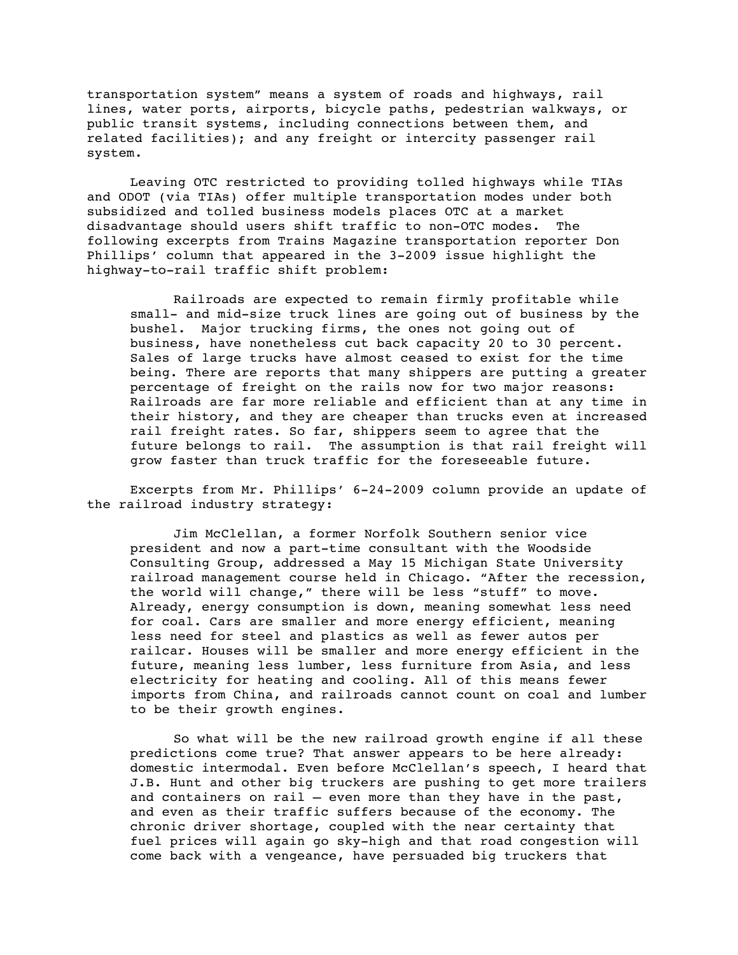transportation system" means a system of roads and highways, rail lines, water ports, airports, bicycle paths, pedestrian walkways, or public transit systems, including connections between them, and related facilities); and any freight or intercity passenger rail system.

Leaving OTC restricted to providing tolled highways while TIAs and ODOT (via TIAs) offer multiple transportation modes under both subsidized and tolled business models places OTC at a market disadvantage should users shift traffic to non-OTC modes. The following excerpts from Trains Magazine transportation reporter Don Phillips' column that appeared in the 3-2009 issue highlight the highway-to-rail traffic shift problem:

Railroads are expected to remain firmly profitable while small- and mid-size truck lines are going out of business by the bushel. Major trucking firms, the ones not going out of business, have nonetheless cut back capacity 20 to 30 percent. Sales of large trucks have almost ceased to exist for the time being. There are reports that many shippers are putting a greater percentage of freight on the rails now for two major reasons: Railroads are far more reliable and efficient than at any time in their history, and they are cheaper than trucks even at increased rail freight rates. So far, shippers seem to agree that the future belongs to rail. The assumption is that rail freight will grow faster than truck traffic for the foreseeable future.

Excerpts from Mr. Phillips' 6-24-2009 column provide an update of the railroad industry strategy:

Jim McClellan, a former Norfolk Southern senior vice president and now a part-time consultant with the Woodside Consulting Group, addressed a May 15 Michigan State University railroad management course held in Chicago. "After the recession, the world will change," there will be less "stuff" to move. Already, energy consumption is down, meaning somewhat less need for coal. Cars are smaller and more energy efficient, meaning less need for steel and plastics as well as fewer autos per railcar. Houses will be smaller and more energy efficient in the future, meaning less lumber, less furniture from Asia, and less electricity for heating and cooling. All of this means fewer imports from China, and railroads cannot count on coal and lumber to be their growth engines.

So what will be the new railroad growth engine if all these predictions come true? That answer appears to be here already: domestic intermodal. Even before McClellan's speech, I heard that J.B. Hunt and other big truckers are pushing to get more trailers and containers on rail  $-$  even more than they have in the past, and even as their traffic suffers because of the economy. The chronic driver shortage, coupled with the near certainty that fuel prices will again go sky-high and that road congestion will come back with a vengeance, have persuaded big truckers that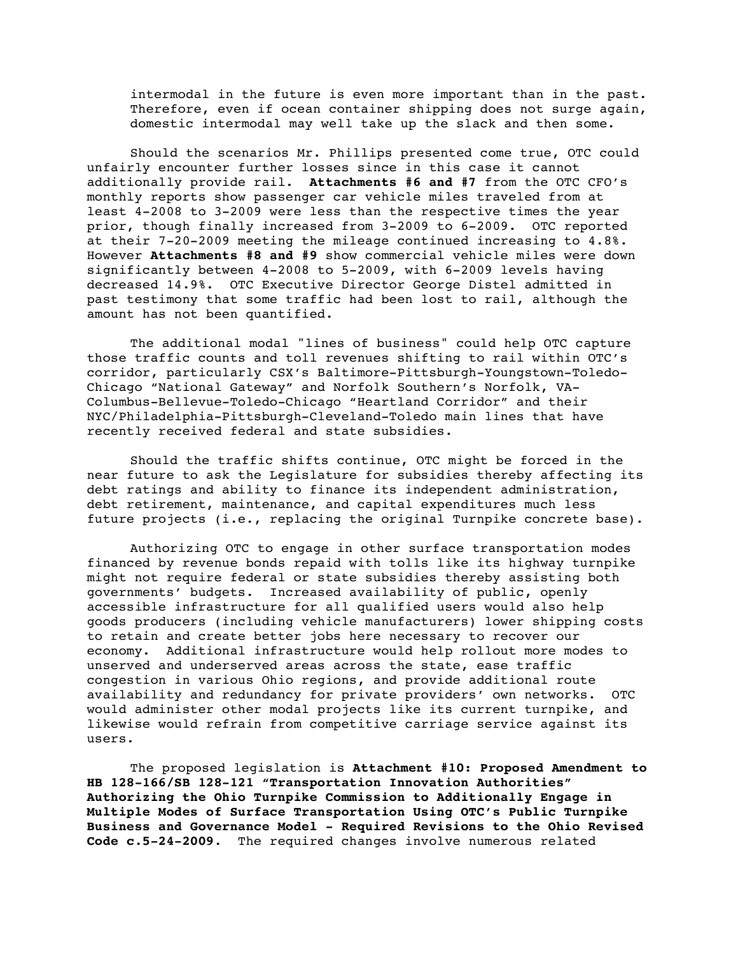intermodal in the future is even more important than in the past. Therefore, even if ocean container shipping does not surge again, domestic intermodal may well take up the slack and then some.

Should the scenarios Mr. Phillips presented come true, OTC could unfairly encounter further losses since in this case it cannot additionally provide rail. **Attachments #6 and #7** from the OTC CFO's monthly reports show passenger car vehicle miles traveled from at least 4-2008 to 3-2009 were less than the respective times the year prior, though finally increased from 3-2009 to 6-2009. OTC reported at their 7-20-2009 meeting the mileage continued increasing to 4.8%. However **Attachments #8 and #9** show commercial vehicle miles were down significantly between 4-2008 to 5-2009, with 6-2009 levels having decreased 14.9%. OTC Executive Director George Distel admitted in past testimony that some traffic had been lost to rail, although the amount has not been quantified.

The additional modal "lines of business" could help OTC capture those traffic counts and toll revenues shifting to rail within OTC's corridor, particularly CSX's Baltimore-Pittsburgh-Youngstown-Toledo-Chicago "National Gateway" and Norfolk Southern's Norfolk, VA-Columbus-Bellevue-Toledo-Chicago "Heartland Corridor" and their NYC/Philadelphia-Pittsburgh-Cleveland-Toledo main lines that have recently received federal and state subsidies.

Should the traffic shifts continue, OTC might be forced in the near future to ask the Legislature for subsidies thereby affecting its debt ratings and ability to finance its independent administration, debt retirement, maintenance, and capital expenditures much less future projects (i.e., replacing the original Turnpike concrete base).

Authorizing OTC to engage in other surface transportation modes financed by revenue bonds repaid with tolls like its highway turnpike might not require federal or state subsidies thereby assisting both governments' budgets. Increased availability of public, openly accessible infrastructure for all qualified users would also help goods producers (including vehicle manufacturers) lower shipping costs to retain and create better jobs here necessary to recover our economy. Additional infrastructure would help rollout more modes to unserved and underserved areas across the state, ease traffic congestion in various Ohio regions, and provide additional route availability and redundancy for private providers' own networks. OTC would administer other modal projects like its current turnpike, and likewise would refrain from competitive carriage service against its users.

The proposed legislation is **Attachment #10: Proposed Amendment to HB 128-166/SB 128-121 "Transportation Innovation Authorities" Authorizing the Ohio Turnpike Commission to Additionally Engage in Multiple Modes of Surface Transportation Using OTC's Public Turnpike Business and Governance Model - Required Revisions to the Ohio Revised Code c.5-24-2009**. The required changes involve numerous related